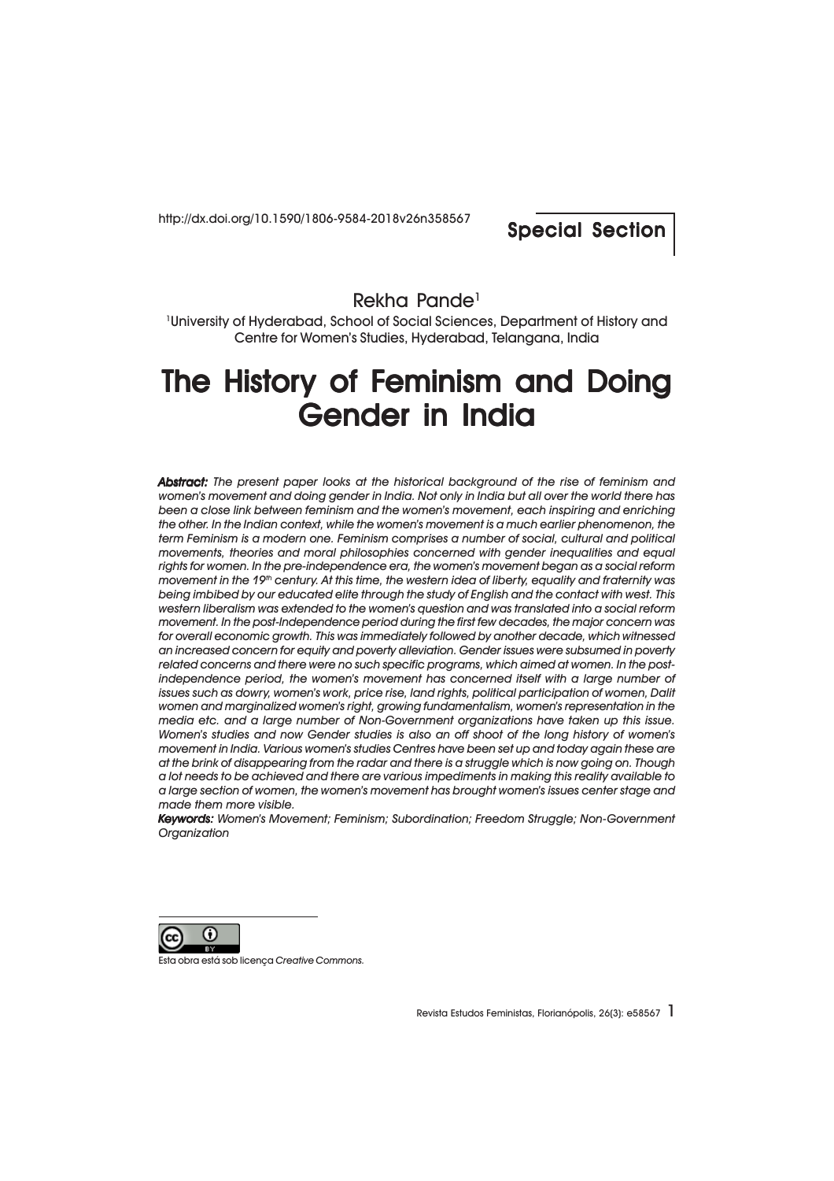http://dx.doi.org/10.1590/1806-9584-2018v26n358567

# Special Section

Rekha Pande<sup>1</sup>

<sup>1</sup>University of Hyderabad, School of Social Sciences, Department of History and Centre for Women's Studies, Hyderabad, Telangana, India

# The History of Feminism and Doing Gender in India

*Abstract: The present paper looks at the historical background of the rise of feminism and women's movement and doing gender in India. Not only in India but all over the world there has been a close link between feminism and the women's movement, each inspiring and enriching the other. In the Indian context, while the women's movement is a much earlier phenomenon, the term Feminism is a modern one. Feminism comprises a number of social, cultural and political movements, theories and moral philosophies concerned with gender inequalities and equal rights for women. In the pre-independence era, the women's movement began as a social reform movement in the 19th century. At this time, the western idea of liberty, equality and fraternity was being imbibed by our educated elite through the study of English and the contact with west. This western liberalism was extended to the women's question and was translated into a social reform movement. In the post-Independence period during the first few decades, the major concern was for overall economic growth. This was immediately followed by another decade, which witnessed an increased concern for equity and poverty alleviation. Gender issues were subsumed in poverty related concerns and there were no such specific programs, which aimed at women. In the postindependence period, the women's movement has concerned itself with a large number of issues such as dowry, women's work, price rise, land rights, political participation of women, Dalit women and marginalized women's right, growing fundamentalism, women's representation in the media etc. and a large number of Non-Government organizations have taken up this issue. Women's studies and now Gender studies is also an off shoot of the long history of women's movement in India. Various women's studies Centres have been set up and today again these are at the brink of disappearing from the radar and there is a struggle which is now going on. Though a lot needs to be achieved and there are various impediments in making this reality available to a large section of women, the women's movement has brought women's issues center stage and made them more visible.*

*Keywords: Women's Movement; Feminism; Subordination; Freedom Struggle; Non-Government Organization*



Esta obra está sob licença *Creative Commons.*

Revista Estudos Feministas, Florianópolis, 26(3): e58567 1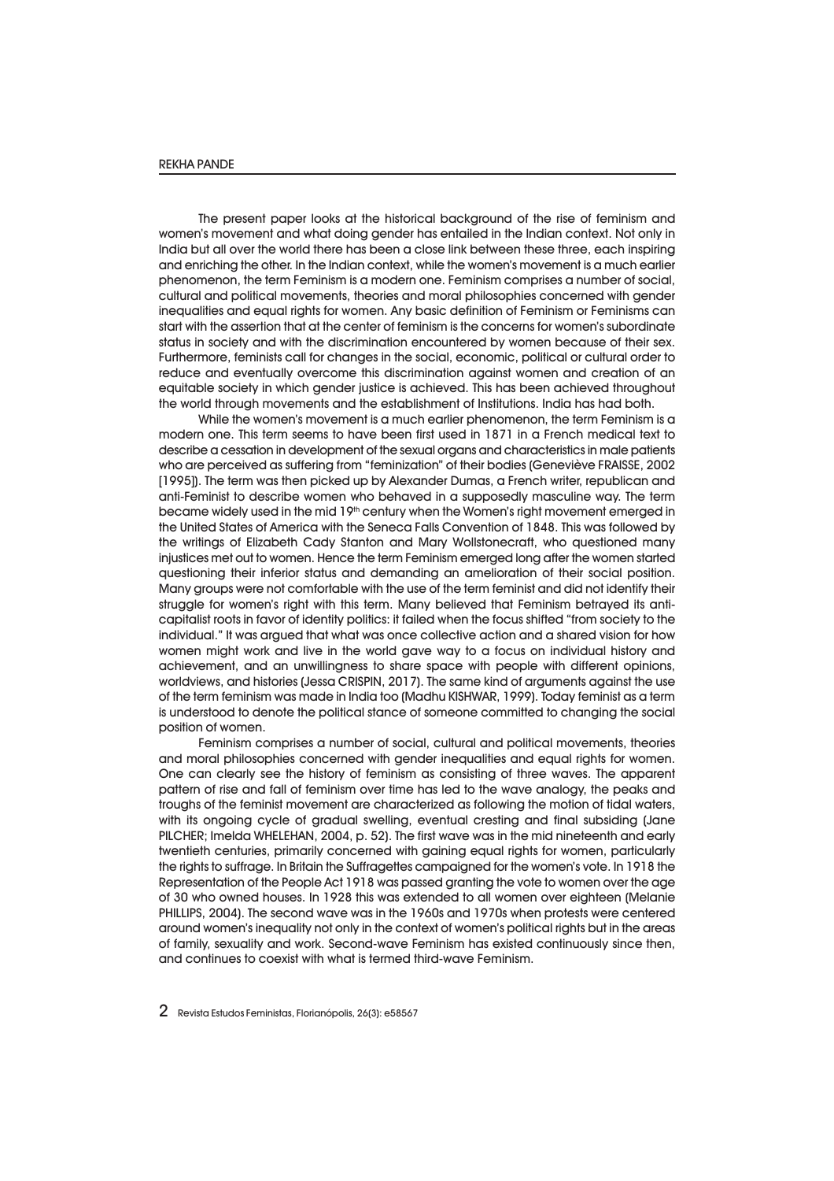The present paper looks at the historical background of the rise of feminism and women's movement and what doing gender has entailed in the Indian context. Not only in India but all over the world there has been a close link between these three, each inspiring and enriching the other. In the Indian context, while the women's movement is a much earlier phenomenon, the term Feminism is a modern one. Feminism comprises a number of social, cultural and political movements, theories and moral philosophies concerned with gender inequalities and equal rights for women. Any basic definition of Feminism or Feminisms can start with the assertion that at the center of feminism is the concerns for women's subordinate status in society and with the discrimination encountered by women because of their sex. Furthermore, feminists call for changes in the social, economic, political or cultural order to reduce and eventually overcome this discrimination against women and creation of an equitable society in which gender justice is achieved. This has been achieved throughout the world through movements and the establishment of Institutions. India has had both.

While the women's movement is a much earlier phenomenon, the term Feminism is a modern one. This term seems to have been first used in 1871 in a French medical text to describe a cessation in development of the sexual organs and characteristics in male patients who are perceived as suffering from "feminization" of their bodies (Geneviève FRAISSE, 2002 [1995]). The term was then picked up by Alexander Dumas, a French writer, republican and anti-Feminist to describe women who behaved in a supposedly masculine way. The term became widely used in the mid 19<sup>th</sup> century when the Women's right movement emerged in the United States of America with the Seneca Falls Convention of 1848. This was followed by the writings of Elizabeth Cady Stanton and Mary Wollstonecraft, who questioned many injustices met out to women. Hence the term Feminism emerged long after the women started questioning their inferior status and demanding an amelioration of their social position. Many groups were not comfortable with the use of the term feminist and did not identify their struggle for women's right with this term. Many believed that Feminism betrayed its anticapitalist roots in favor of identity politics: it failed when the focus shifted "from society to the individual." It was argued that what was once collective action and a shared vision for how women might work and live in the world gave way to a focus on individual history and achievement, and an unwillingness to share space with people with different opinions, worldviews, and histories (Jessa CRISPIN, 2017). The same kind of arguments against the use of the term feminism was made in India too (Madhu KISHWAR, 1999). Today feminist as a term is understood to denote the political stance of someone committed to changing the social position of women.

Feminism comprises a number of social, cultural and political movements, theories and moral philosophies concerned with gender inequalities and equal rights for women. One can clearly see the history of feminism as consisting of three waves. The apparent pattern of rise and fall of feminism over time has led to the wave analogy, the peaks and troughs of the feminist movement are characterized as following the motion of tidal waters, with its ongoing cycle of gradual swelling, eventual cresting and final subsiding (Jane PILCHER; Imelda WHELEHAN, 2004, p. 52). The first wave was in the mid nineteenth and early twentieth centuries, primarily concerned with gaining equal rights for women, particularly the rights to suffrage. In Britain the Suffragettes campaigned for the women's vote. In 1918 the Representation of the People Act 1918 was passed granting the vote to women over the age of 30 who owned houses. In 1928 this was extended to all women over eighteen (Melanie PHILLIPS, 2004). The second wave was in the 1960s and 1970s when protests were centered around women's inequality not only in the context of women's political rights but in the areas of family, sexuality and work. Second-wave Feminism has existed continuously since then, and continues to coexist with what is termed third-wave Feminism.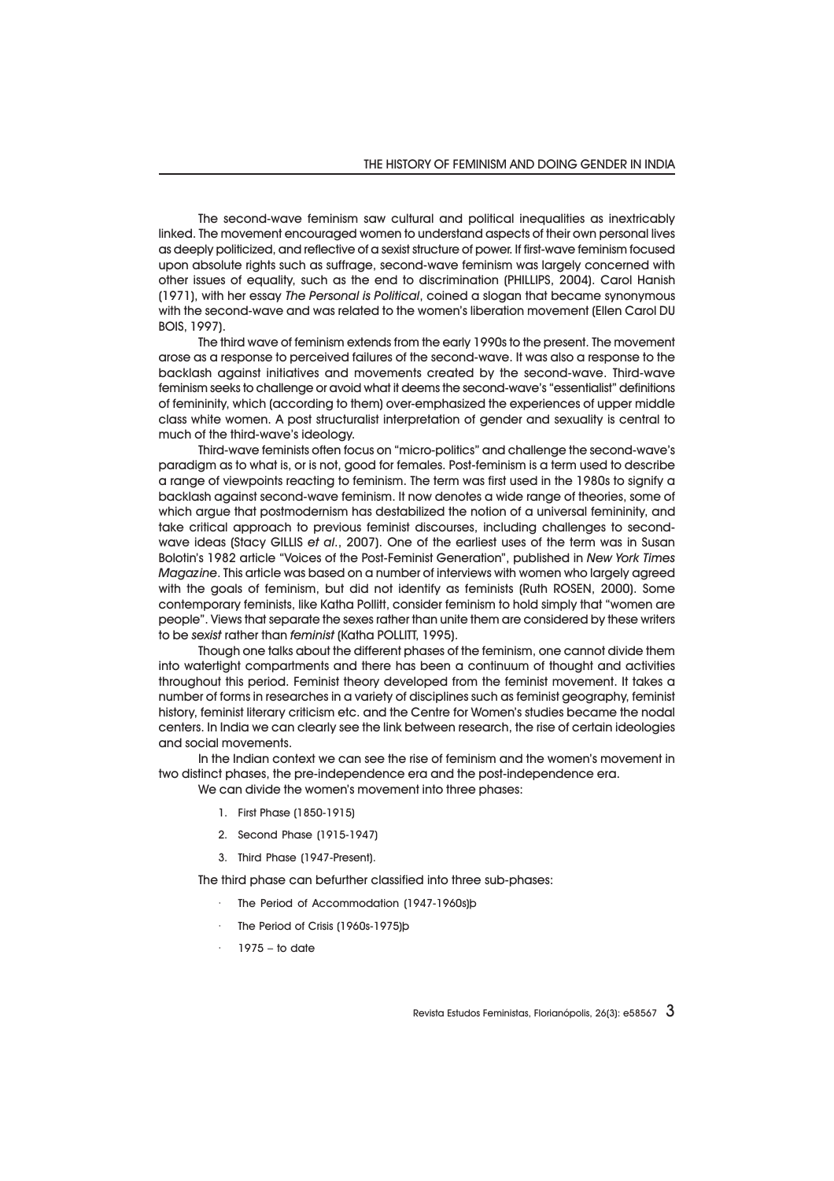The second-wave feminism saw cultural and political inequalities as inextricably linked. The movement encouraged women to understand aspects of their own personal lives as deeply politicized, and reflective of a sexist structure of power. If first-wave feminism focused upon absolute rights such as suffrage, second-wave feminism was largely concerned with other issues of equality, such as the end to discrimination (PHILLIPS, 2004). Carol Hanish (1971), with her essay *The Personal is Political*, coined a slogan that became synonymous with the second-wave and was related to the women's liberation movement (Ellen Carol DU BOIS, 1997).

The third wave of feminism extends from the early 1990s to the present. The movement arose as a response to perceived failures of the second-wave. It was also a response to the backlash against initiatives and movements created by the second-wave. Third-wave feminism seeks to challenge or avoid what it deems the second-wave's "essentialist" definitions of femininity, which (according to them) over-emphasized the experiences of upper middle class white women. A post structuralist interpretation of gender and sexuality is central to much of the third-wave's ideology.

Third-wave feminists often focus on "micro-politics" and challenge the second-wave's paradigm as to what is, or is not, good for females. Post-feminism is a term used to describe a range of viewpoints reacting to feminism. The term was first used in the 1980s to signify a backlash against second-wave feminism. It now denotes a wide range of theories, some of which argue that postmodernism has destabilized the notion of a universal femininity, and take critical approach to previous feminist discourses, including challenges to secondwave ideas (Stacy GILLIS *et al*., 2007). One of the earliest uses of the term was in Susan Bolotin's 1982 article "Voices of the Post-Feminist Generation", published in *New York Times Magazine*. This article was based on a number of interviews with women who largely agreed with the goals of feminism, but did not identify as feminists (Ruth ROSEN, 2000). Some contemporary feminists, like Katha Pollitt, consider feminism to hold simply that "women are people". Views that separate the sexes rather than unite them are considered by these writers to be *sexist* rather than *feminist* (Katha POLLITT, 1995).

Though one talks about the different phases of the feminism, one cannot divide them into watertight compartments and there has been a continuum of thought and activities throughout this period. Feminist theory developed from the feminist movement. It takes a number of forms in researches in a variety of disciplines such as feminist geography, feminist history, feminist literary criticism etc. and the Centre for Women's studies became the nodal centers. In India we can clearly see the link between research, the rise of certain ideologies and social movements.

In the Indian context we can see the rise of feminism and the women's movement in two distinct phases, the pre-independence era and the post-independence era.

We can divide the women's movement into three phases:

- 1. First Phase (1850-1915)
- 2. Second Phase (1915-1947)
- 3. Third Phase (1947-Present).

The third phase can befurther classified into three sub-phases:

- The Period of Accommodation (1947-1960s)b
- The Period of Crisis (1960s-1975)b
- $1975 -$  to date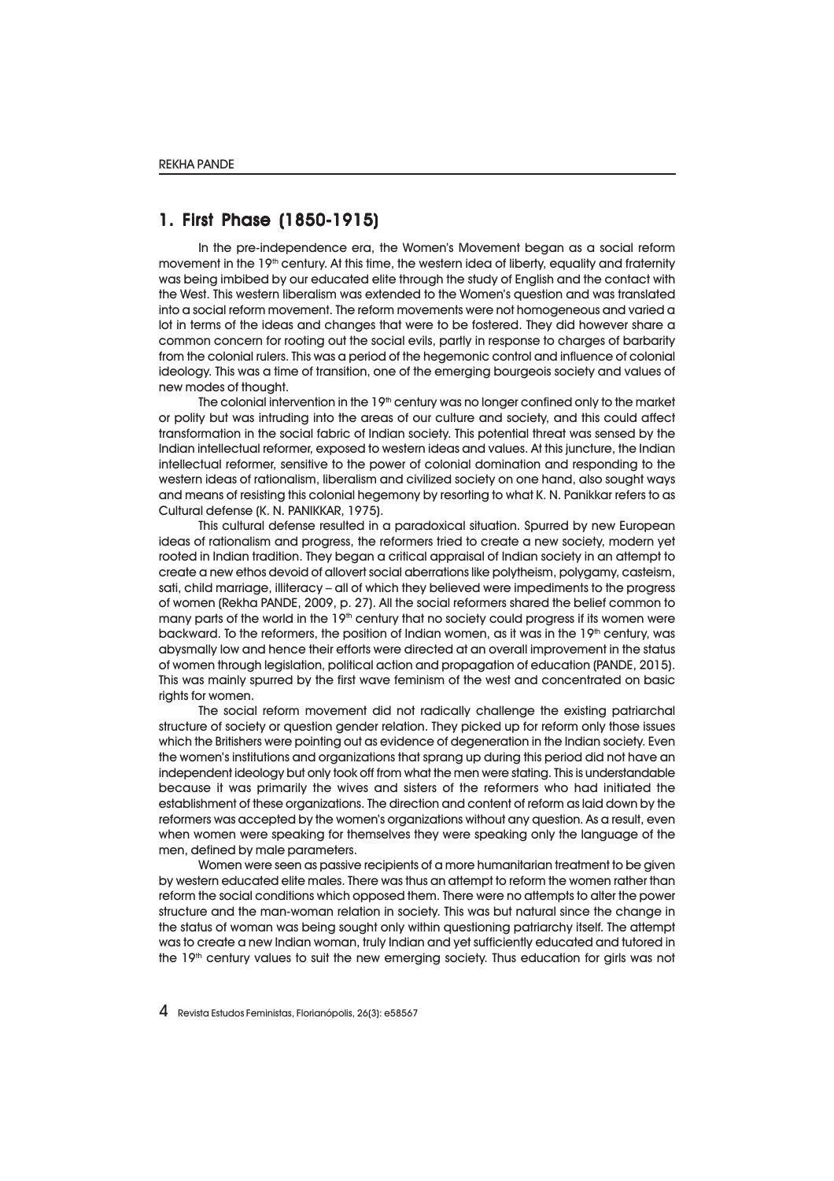#### 1. First Phase (1850-1915)

In the pre-independence era, the Women's Movement began as a social reform movement in the 19<sup>th</sup> century. At this time, the western idea of liberty, equality and fraternity was being imbibed by our educated elite through the study of English and the contact with the West. This western liberalism was extended to the Women's question and was translated into a social reform movement. The reform movements were not homogeneous and varied a lot in terms of the ideas and changes that were to be fostered. They did however share a common concern for rooting out the social evils, partly in response to charges of barbarity from the colonial rulers. This was a period of the hegemonic control and influence of colonial ideology. This was a time of transition, one of the emerging bourgeois society and values of new modes of thought.

The colonial intervention in the  $19<sup>th</sup>$  century was no longer confined only to the market or polity but was intruding into the areas of our culture and society, and this could affect transformation in the social fabric of Indian society. This potential threat was sensed by the Indian intellectual reformer, exposed to western ideas and values. At this juncture, the Indian intellectual reformer, sensitive to the power of colonial domination and responding to the western ideas of rationalism, liberalism and civilized society on one hand, also sought ways and means of resisting this colonial hegemony by resorting to what K. N. Panikkar refers to as Cultural defense (K. N. PANIKKAR, 1975).

This cultural defense resulted in a paradoxical situation. Spurred by new European ideas of rationalism and progress, the reformers tried to create a new society, modern yet rooted in Indian tradition. They began a critical appraisal of Indian society in an attempt to create a new ethos devoid of allovert social aberrations like polytheism, polygamy, casteism, sati, child marriage, illiteracy – all of which they believed were impediments to the progress of women (Rekha PANDE, 2009, p. 27). All the social reformers shared the belief common to many parts of the world in the  $19<sup>th</sup>$  century that no society could progress if its women were backward. To the reformers, the position of Indian women, as it was in the 19<sup>th</sup> century, was abysmally low and hence their efforts were directed at an overall improvement in the status of women through legislation, political action and propagation of education (PANDE, 2015). This was mainly spurred by the first wave feminism of the west and concentrated on basic rights for women.

The social reform movement did not radically challenge the existing patriarchal structure of society or question gender relation. They picked up for reform only those issues which the Britishers were pointing out as evidence of degeneration in the Indian society. Even the women's institutions and organizations that sprang up during this period did not have an independent ideology but only took off from what the men were stating. This is understandable because it was primarily the wives and sisters of the reformers who had initiated the establishment of these organizations. The direction and content of reform as laid down by the reformers was accepted by the women's organizations without any question. As a result, even when women were speaking for themselves they were speaking only the language of the men, defined by male parameters.

Women were seen as passive recipients of a more humanitarian treatment to be given by western educated elite males. There was thus an attempt to reform the women rather than reform the social conditions which opposed them. There were no attempts to alter the power structure and the man-woman relation in society. This was but natural since the change in the status of woman was being sought only within questioning patriarchy itself. The attempt was to create a new Indian woman, truly Indian and yet sufficiently educated and tutored in the 19<sup>th</sup> century values to suit the new emerging society. Thus education for girls was not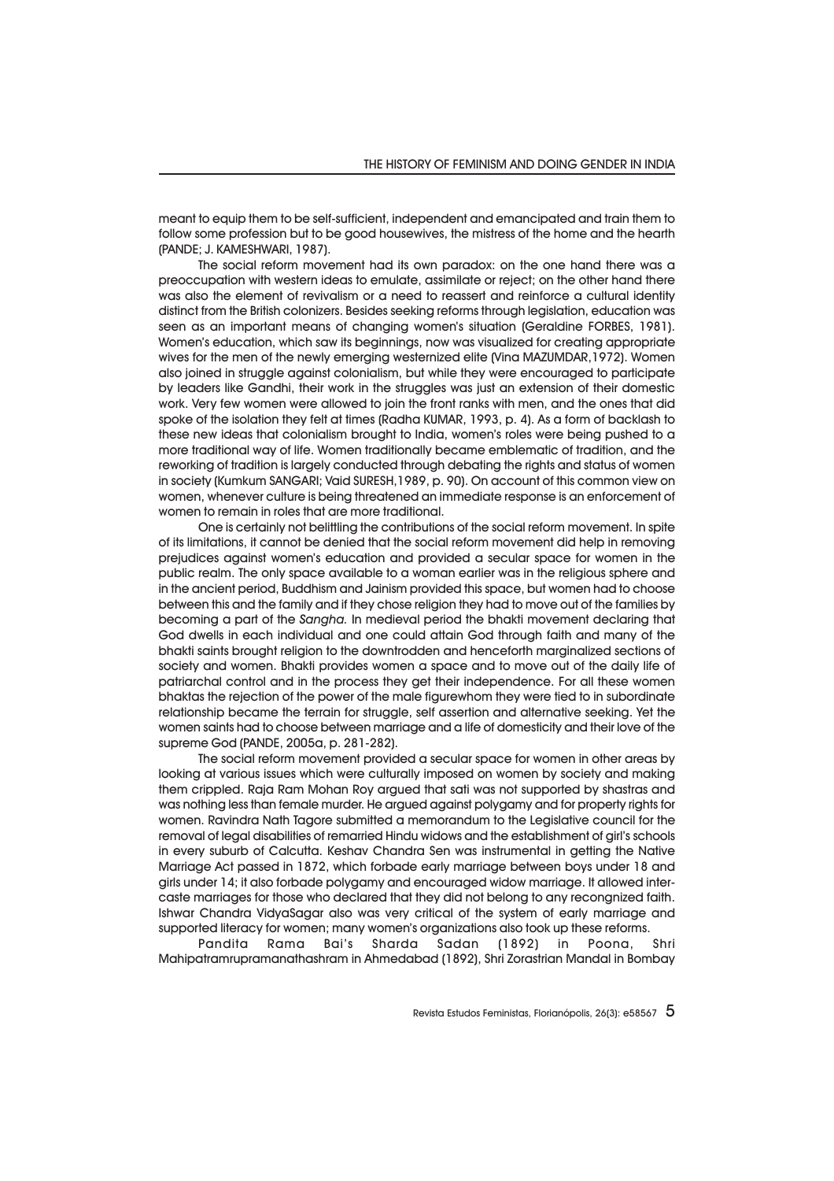meant to equip them to be self-sufficient, independent and emancipated and train them to follow some profession but to be good housewives, the mistress of the home and the hearth (PANDE; J. KAMESHWARI, 1987).

The social reform movement had its own paradox: on the one hand there was a preoccupation with western ideas to emulate, assimilate or reject; on the other hand there was also the element of revivalism or a need to reassert and reinforce a cultural identity distinct from the British colonizers. Besides seeking reforms through legislation, education was seen as an important means of changing women's situation (Geraldine FORBES, 1981). Women's education, which saw its beginnings, now was visualized for creating appropriate wives for the men of the newly emerging westernized elite (Vina MAZUMDAR,1972). Women also joined in struggle against colonialism, but while they were encouraged to participate by leaders like Gandhi, their work in the struggles was just an extension of their domestic work. Very few women were allowed to join the front ranks with men, and the ones that did spoke of the isolation they felt at times (Radha KUMAR, 1993, p. 4). As a form of backlash to these new ideas that colonialism brought to India, women's roles were being pushed to a more traditional way of life. Women traditionally became emblematic of tradition, and the reworking of tradition is largely conducted through debating the rights and status of women in society (Kumkum SANGARI; Vaid SURESH,1989, p. 90). On account of this common view on women, whenever culture is being threatened an immediate response is an enforcement of women to remain in roles that are more traditional.

One is certainly not belittling the contributions of the social reform movement. In spite of its limitations, it cannot be denied that the social reform movement did help in removing prejudices against women's education and provided a secular space for women in the public realm. The only space available to a woman earlier was in the religious sphere and in the ancient period, Buddhism and Jainism provided this space, but women had to choose between this and the family and if they chose religion they had to move out of the families by becoming a part of the *Sangha.* In medieval period the bhakti movement declaring that God dwells in each individual and one could attain God through faith and many of the bhakti saints brought religion to the downtrodden and henceforth marginalized sections of society and women. Bhakti provides women a space and to move out of the daily life of patriarchal control and in the process they get their independence. For all these women bhaktas the rejection of the power of the male figurewhom they were tied to in subordinate relationship became the terrain for struggle, self assertion and alternative seeking. Yet the women saints had to choose between marriage and a life of domesticity and their love of the supreme God (PANDE, 2005a, p. 281-282).

The social reform movement provided a secular space for women in other areas by looking at various issues which were culturally imposed on women by society and making them crippled. Raja Ram Mohan Roy argued that sati was not supported by shastras and was nothing less than female murder. He argued against polygamy and for property rights for women. Ravindra Nath Tagore submitted a memorandum to the Legislative council for the removal of legal disabilities of remarried Hindu widows and the establishment of girl's schools in every suburb of Calcutta. Keshav Chandra Sen was instrumental in getting the Native Marriage Act passed in 1872, which forbade early marriage between boys under 18 and girls under 14; it also forbade polygamy and encouraged widow marriage. It allowed intercaste marriages for those who declared that they did not belong to any recongnized faith. Ishwar Chandra VidyaSagar also was very critical of the system of early marriage and supported literacy for women; many women's organizations also took up these reforms.

Pandita Rama Bai's Sharda Sadan (1892) in Poona, Shri Mahipatramrupramanathashram in Ahmedabad (1892), Shri Zorastrian Mandal in Bombay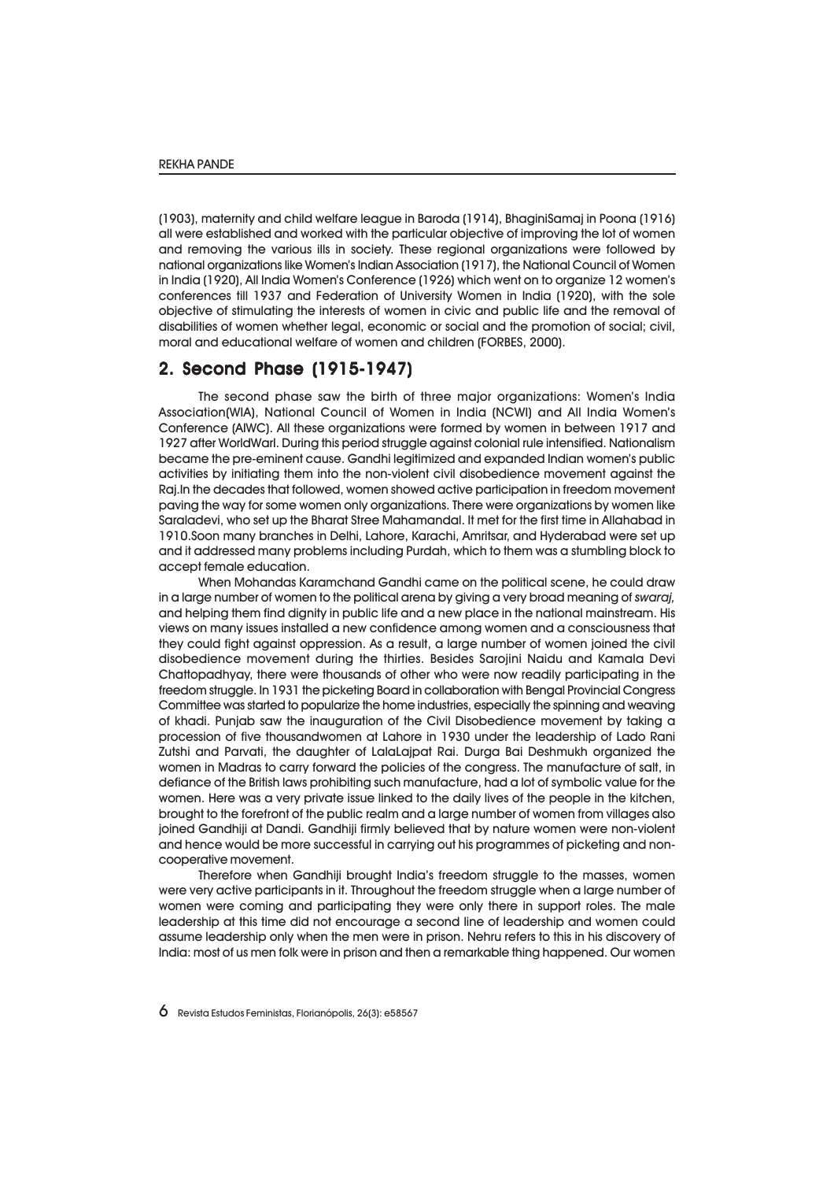(1903), maternity and child welfare league in Baroda (1914), BhaginiSamaj in Poona (1916) all were established and worked with the particular objective of improving the lot of women and removing the various ills in society. These regional organizations were followed by national organizations like Women's Indian Association (1917), the National Council of Women in India (1920), All India Women's Conference (1926) which went on to organize 12 women's conferences till 1937 and Federation of University Women in India (1920), with the sole objective of stimulating the interests of women in civic and public life and the removal of disabilities of women whether legal, economic or social and the promotion of social; civil, moral and educational welfare of women and children (FORBES, 2000).

## 2. Second Phase (1915-1947)

The second phase saw the birth of three major organizations: Women's India Association(WIA), National Council of Women in India (NCWI) and All India Women's Conference (AIWC). All these organizations were formed by women in between 1917 and 1927 after WorldWarI. During this period struggle against colonial rule intensified. Nationalism became the pre-eminent cause. Gandhi legitimized and expanded Indian women's public activities by initiating them into the non-violent civil disobedience movement against the Raj.In the decades that followed, women showed active participation in freedom movement paving the way for some women only organizations. There were organizations by women like Saraladevi, who set up the Bharat Stree Mahamandal. It met for the first time in Allahabad in 1910.Soon many branches in Delhi, Lahore, Karachi, Amritsar, and Hyderabad were set up and it addressed many problems including Purdah, which to them was a stumbling block to accept female education.

When Mohandas Karamchand Gandhi came on the political scene, he could draw in a large number of women to the political arena by giving a very broad meaning of *swaraj,* and helping them find dignity in public life and a new place in the national mainstream. His views on many issues installed a new confidence among women and a consciousness that they could fight against oppression. As a result, a large number of women joined the civil disobedience movement during the thirties. Besides Sarojini Naidu and Kamala Devi Chattopadhyay, there were thousands of other who were now readily participating in the freedom struggle. In 1931 the picketing Board in collaboration with Bengal Provincial Congress Committee was started to popularize the home industries, especially the spinning and weaving of khadi. Punjab saw the inauguration of the Civil Disobedience movement by taking a procession of five thousandwomen at Lahore in 1930 under the leadership of Lado Rani Zutshi and Parvati, the daughter of LalaLajpat Rai. Durga Bai Deshmukh organized the women in Madras to carry forward the policies of the congress. The manufacture of salt, in defiance of the British laws prohibiting such manufacture, had a lot of symbolic value for the women. Here was a very private issue linked to the daily lives of the people in the kitchen, brought to the forefront of the public realm and a large number of women from villages also joined Gandhiji at Dandi. Gandhiji firmly believed that by nature women were non-violent and hence would be more successful in carrying out his programmes of picketing and noncooperative movement.

Therefore when Gandhiji brought India's freedom struggle to the masses, women were very active participants in it. Throughout the freedom struggle when a large number of women were coming and participating they were only there in support roles. The male leadership at this time did not encourage a second line of leadership and women could assume leadership only when the men were in prison. Nehru refers to this in his discovery of India: most of us men folk were in prison and then a remarkable thing happened. Our women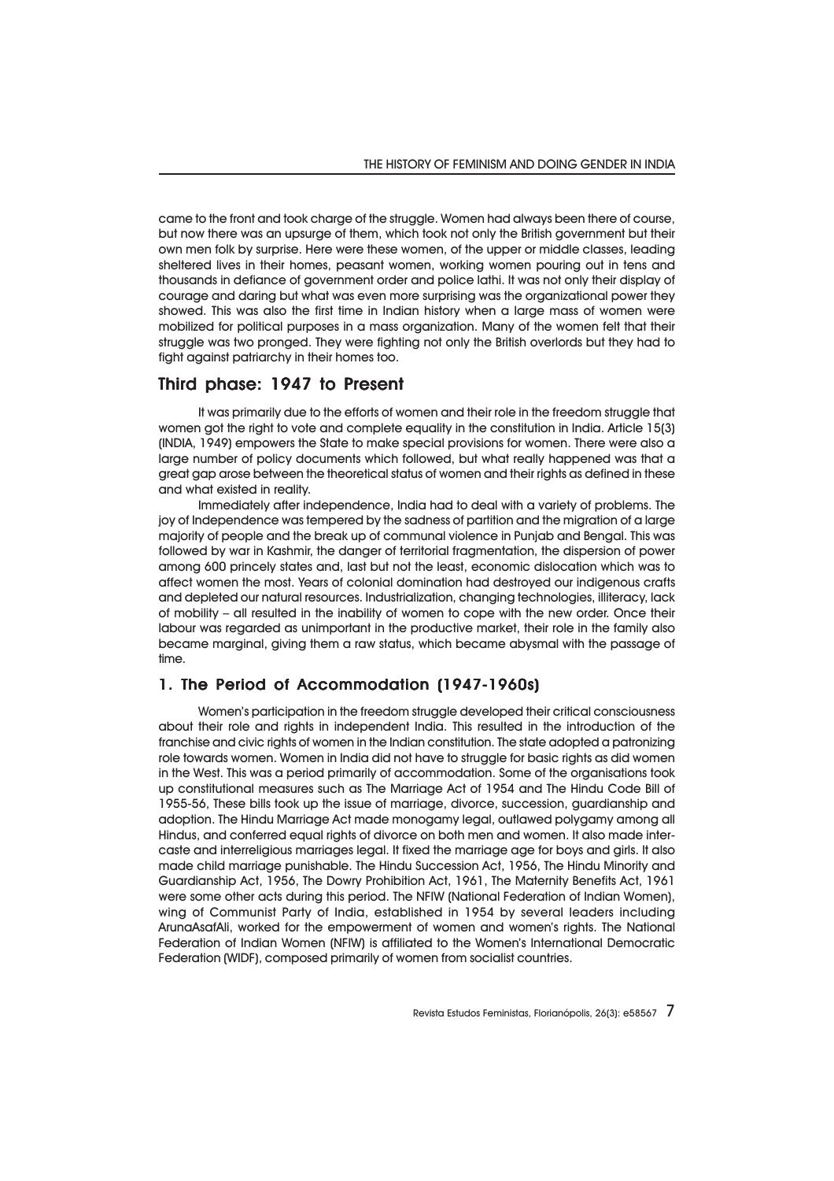came to the front and took charge of the struggle. Women had always been there of course, but now there was an upsurge of them, which took not only the British government but their own men folk by surprise. Here were these women, of the upper or middle classes, leading sheltered lives in their homes, peasant women, working women pouring out in tens and thousands in defiance of government order and police lathi. It was not only their display of courage and daring but what was even more surprising was the organizational power they showed. This was also the first time in Indian history when a large mass of women were mobilized for political purposes in a mass organization. Many of the women felt that their struggle was two pronged. They were fighting not only the British overlords but they had to fight against patriarchy in their homes too.

#### Third phase: 1947 to Present

It was primarily due to the efforts of women and their role in the freedom struggle that women got the right to vote and complete equality in the constitution in India. Article 15(3) (INDIA, 1949) empowers the State to make special provisions for women. There were also a large number of policy documents which followed, but what really happened was that a great gap arose between the theoretical status of women and their rights as defined in these and what existed in reality.

Immediately after independence, India had to deal with a variety of problems. The joy of Independence was tempered by the sadness of partition and the migration of a large majority of people and the break up of communal violence in Punjab and Bengal. This was followed by war in Kashmir, the danger of territorial fragmentation, the dispersion of power among 600 princely states and, last but not the least, economic dislocation which was to affect women the most. Years of colonial domination had destroyed our indigenous crafts and depleted our natural resources. Industrialization, changing technologies, illiteracy, lack of mobility – all resulted in the inability of women to cope with the new order. Once their labour was regarded as unimportant in the productive market, their role in the family also became marginal, giving them a raw status, which became abysmal with the passage of time.

### 1. The Period of Accommodation (1947-1960s)

Women's participation in the freedom struggle developed their critical consciousness about their role and rights in independent India. This resulted in the introduction of the franchise and civic rights of women in the Indian constitution. The state adopted a patronizing role towards women. Women in India did not have to struggle for basic rights as did women in the West. This was a period primarily of accommodation. Some of the organisations took up constitutional measures such as The Marriage Act of 1954 and The Hindu Code Bill of 1955-56, These bills took up the issue of marriage, divorce, succession, guardianship and adoption. The Hindu Marriage Act made monogamy legal, outlawed polygamy among all Hindus, and conferred equal rights of divorce on both men and women. It also made intercaste and interreligious marriages legal. It fixed the marriage age for boys and girls. It also made child marriage punishable. The Hindu Succession Act, 1956, The Hindu Minority and Guardianship Act, 1956, The Dowry Prohibition Act, 1961, The Maternity Benefits Act, 1961 were some other acts during this period. The NFIW (National Federation of Indian Women), wing of Communist Party of India, established in 1954 by several leaders including ArunaAsafAli, worked for the empowerment of women and women's rights. The National Federation of Indian Women (NFIW) is affiliated to the Women's International Democratic Federation (WIDF), composed primarily of women from socialist countries.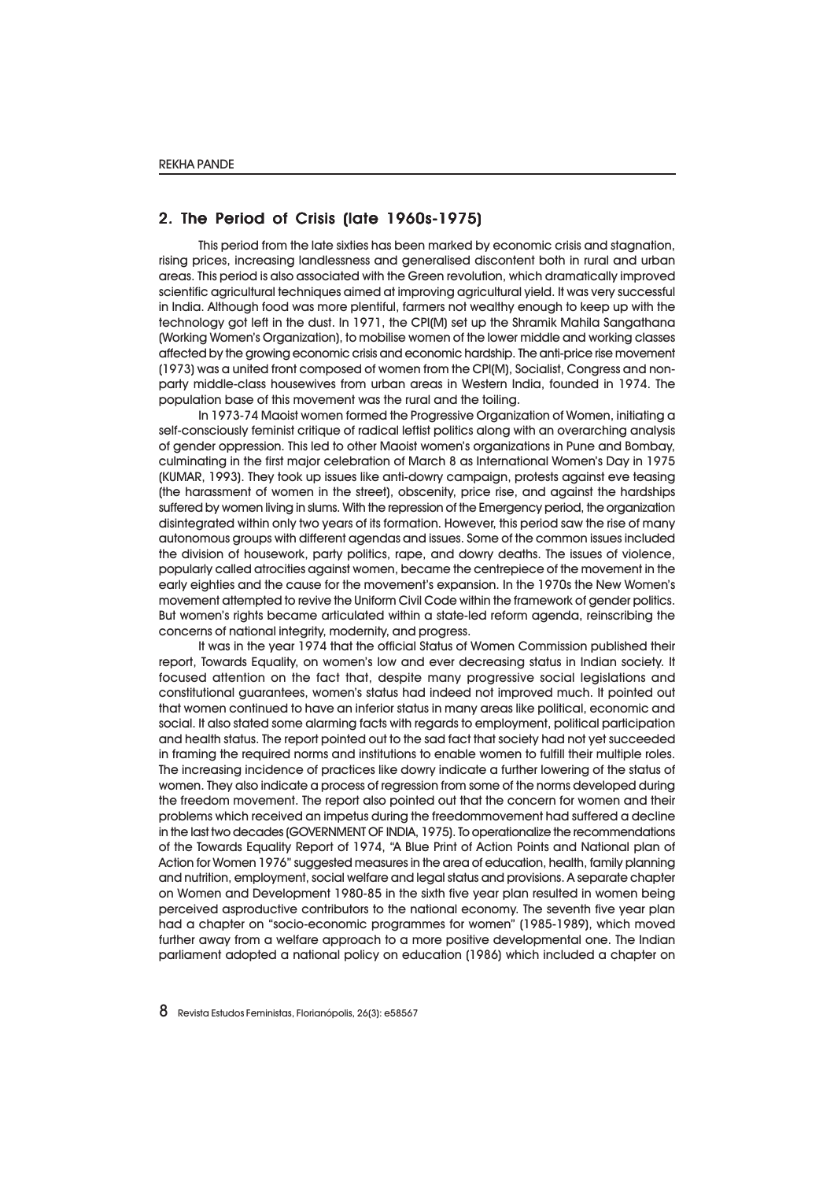#### 2. The Period of Crisis (late 1960s-1975)

This period from the late sixties has been marked by economic crisis and stagnation, rising prices, increasing landlessness and generalised discontent both in rural and urban areas. This period is also associated with the Green revolution, which dramatically improved scientific agricultural techniques aimed at improving agricultural yield. It was very successful in India. Although food was more plentiful, farmers not wealthy enough to keep up with the technology got left in the dust. In 1971, the CPI(M) set up the Shramik Mahila Sangathana (Working Women's Organization), to mobilise women of the lower middle and working classes affected by the growing economic crisis and economic hardship. The anti-price rise movement (1973) was a united front composed of women from the CPI(M), Socialist, Congress and nonparty middle-class housewives from urban areas in Western India, founded in 1974. The population base of this movement was the rural and the toiling.

In 1973-74 Maoist women formed the Progressive Organization of Women, initiating a self-consciously feminist critique of radical leftist politics along with an overarching analysis of gender oppression. This led to other Maoist women's organizations in Pune and Bombay, culminating in the first major celebration of March 8 as International Women's Day in 1975 (KUMAR, 1993). They took up issues like anti-dowry campaign, protests against eve teasing (the harassment of women in the street), obscenity, price rise, and against the hardships suffered by women living in slums. With the repression of the Emergency period, the organization disintegrated within only two years of its formation. However, this period saw the rise of many autonomous groups with different agendas and issues. Some of the common issues included the division of housework, party politics, rape, and dowry deaths. The issues of violence, popularly called atrocities against women, became the centrepiece of the movement in the early eighties and the cause for the movement's expansion. In the 1970s the New Women's movement attempted to revive the Uniform Civil Code within the framework of gender politics. But women's rights became articulated within a state-led reform agenda, reinscribing the concerns of national integrity, modernity, and progress.

It was in the year 1974 that the official Status of Women Commission published their report, Towards Equality, on women's low and ever decreasing status in Indian society. It focused attention on the fact that, despite many progressive social legislations and constitutional guarantees, women's status had indeed not improved much. It pointed out that women continued to have an inferior status in many areas like political, economic and social. It also stated some alarming facts with regards to employment, political participation and health status. The report pointed out to the sad fact that society had not yet succeeded in framing the required norms and institutions to enable women to fulfill their multiple roles. The increasing incidence of practices like dowry indicate a further lowering of the status of women. They also indicate a process of regression from some of the norms developed during the freedom movement. The report also pointed out that the concern for women and their problems which received an impetus during the freedommovement had suffered a decline in the last two decades (GOVERNMENT OF INDIA, 1975). To operationalize the recommendations of the Towards Equality Report of 1974, "A Blue Print of Action Points and National plan of Action for Women 1976" suggested measures in the area of education, health, family planning and nutrition, employment, social welfare and legal status and provisions. A separate chapter on Women and Development 1980-85 in the sixth five year plan resulted in women being perceived asproductive contributors to the national economy. The seventh five year plan had a chapter on "socio-economic programmes for women" (1985-1989), which moved further away from a welfare approach to a more positive developmental one. The Indian parliament adopted a national policy on education (1986) which included a chapter on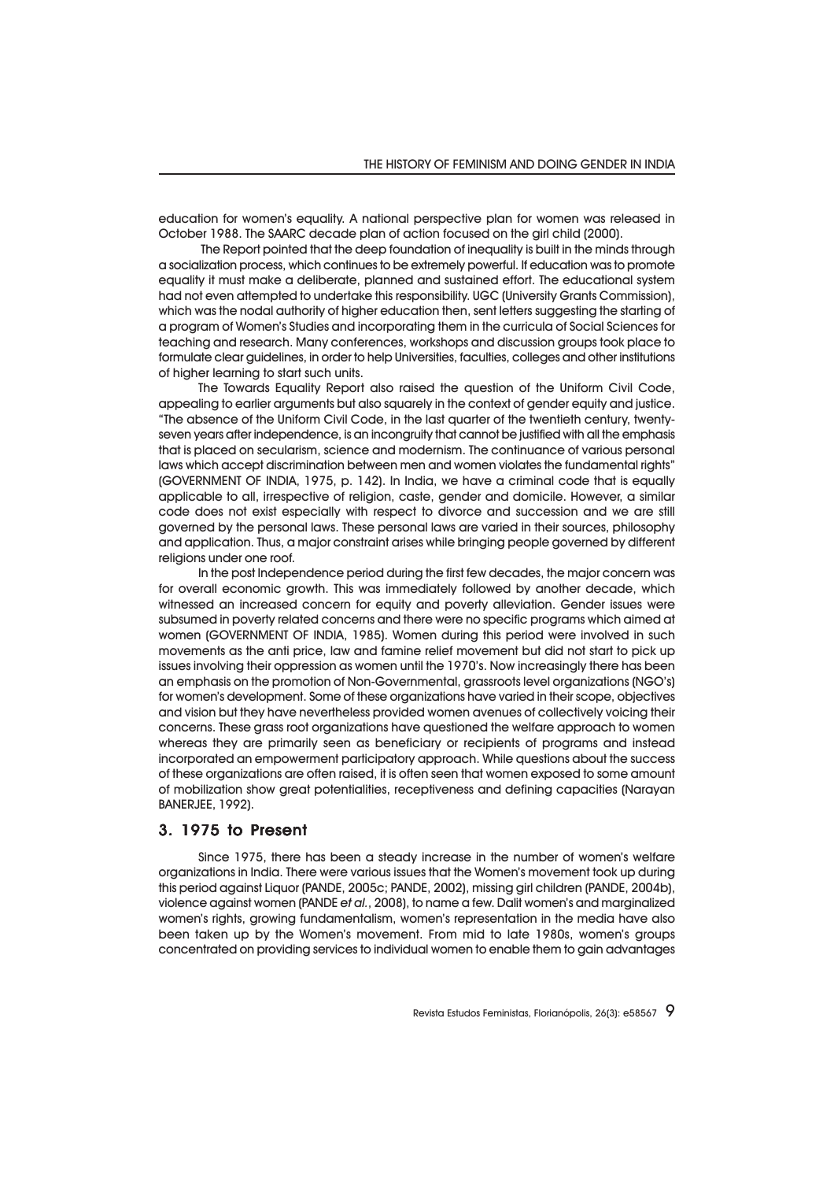education for women's equality. A national perspective plan for women was released in October 1988. The SAARC decade plan of action focused on the girl child (2000).

 The Report pointed that the deep foundation of inequality is built in the minds through a socialization process, which continues to be extremely powerful. If education was to promote equality it must make a deliberate, planned and sustained effort. The educational system had not even attempted to undertake this responsibility. UGC (University Grants Commission), which was the nodal authority of higher education then, sent letters suggesting the starting of a program of Women's Studies and incorporating them in the curricula of Social Sciences for teaching and research. Many conferences, workshops and discussion groups took place to formulate clear guidelines, in order to help Universities, faculties, colleges and other institutions of higher learning to start such units.

The Towards Equality Report also raised the question of the Uniform Civil Code, appealing to earlier arguments but also squarely in the context of gender equity and justice. "The absence of the Uniform Civil Code, in the last quarter of the twentieth century, twentyseven years after independence, is an incongruity that cannot be justified with all the emphasis that is placed on secularism, science and modernism. The continuance of various personal laws which accept discrimination between men and women violates the fundamental rights" (GOVERNMENT OF INDIA, 1975, p. 142). In India, we have a criminal code that is equally applicable to all, irrespective of religion, caste, gender and domicile. However, a similar code does not exist especially with respect to divorce and succession and we are still governed by the personal laws. These personal laws are varied in their sources, philosophy and application. Thus, a major constraint arises while bringing people governed by different religions under one roof.

In the post Independence period during the first few decades, the major concern was for overall economic growth. This was immediately followed by another decade, which witnessed an increased concern for equity and poverty alleviation. Gender issues were subsumed in poverty related concerns and there were no specific programs which aimed at women (GOVERNMENT OF INDIA, 1985). Women during this period were involved in such movements as the anti price, law and famine relief movement but did not start to pick up issues involving their oppression as women until the 1970's. Now increasingly there has been an emphasis on the promotion of Non-Governmental, grassroots level organizations (NGO's) for women's development. Some of these organizations have varied in their scope, objectives and vision but they have nevertheless provided women avenues of collectively voicing their concerns. These grass root organizations have questioned the welfare approach to women whereas they are primarily seen as beneficiary or recipients of programs and instead incorporated an empowerment participatory approach. While questions about the success of these organizations are often raised, it is often seen that women exposed to some amount of mobilization show great potentialities, receptiveness and defining capacities (Narayan BANERJEE, 1992).

#### 3. 1975 to Present

Since 1975, there has been a steady increase in the number of women's welfare organizations in India. There were various issues that the Women's movement took up during this period against Liquor (PANDE, 2005c; PANDE, 2002), missing girl children (PANDE, 2004b), violence against women (PANDE *et al.*, 2008), to name a few. Dalit women's and marginalized women's rights, growing fundamentalism, women's representation in the media have also been taken up by the Women's movement. From mid to late 1980s, women's groups concentrated on providing services to individual women to enable them to gain advantages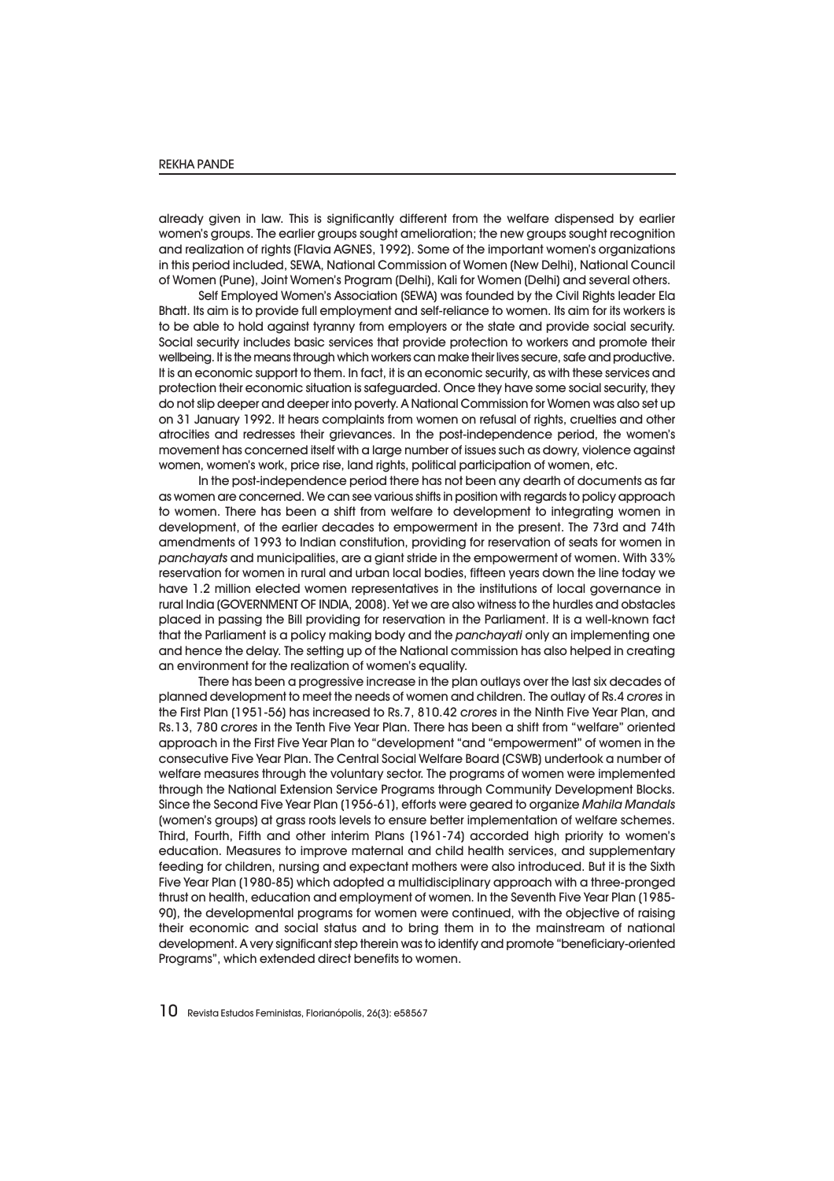already given in law. This is significantly different from the welfare dispensed by earlier women's groups. The earlier groups sought amelioration; the new groups sought recognition and realization of rights (Flavia AGNES, 1992). Some of the important women's organizations in this period included, SEWA, National Commission of Women (New Delhi), National Council of Women (Pune), Joint Women's Program (Delhi), Kali for Women (Delhi) and several others.

Self Employed Women's Association (SEWA) was founded by the Civil Rights leader Ela Bhatt. Its aim is to provide full employment and self-reliance to women. Its aim for its workers is to be able to hold against tyranny from employers or the state and provide social security. Social security includes basic services that provide protection to workers and promote their wellbeing. It is the means through which workers can make their lives secure, safe and productive. It is an economic support to them. In fact, it is an economic security, as with these services and protection their economic situation is safeguarded. Once they have some social security, they do not slip deeper and deeper into poverty. A National Commission for Women was also set up on 31 January 1992. It hears complaints from women on refusal of rights, cruelties and other atrocities and redresses their grievances. In the post-independence period, the women's movement has concerned itself with a large number of issues such as dowry, violence against women, women's work, price rise, land rights, political participation of women, etc.

In the post-independence period there has not been any dearth of documents as far as women are concerned. We can see various shifts in position with regards to policy approach to women. There has been a shift from welfare to development to integrating women in development, of the earlier decades to empowerment in the present. The 73rd and 74th amendments of 1993 to Indian constitution, providing for reservation of seats for women in *panchayats* and municipalities, are a giant stride in the empowerment of women. With 33% reservation for women in rural and urban local bodies, fifteen years down the line today we have 1.2 million elected women representatives in the institutions of local governance in rural India (GOVERNMENT OF INDIA, 2008). Yet we are also witness to the hurdles and obstacles placed in passing the Bill providing for reservation in the Parliament. It is a well-known fact that the Parliament is a policy making body and the *panchayati* only an implementing one and hence the delay. The setting up of the National commission has also helped in creating an environment for the realization of women's equality.

There has been a progressive increase in the plan outlays over the last six decades of planned development to meet the needs of women and children. The outlay of Rs.4 *crores* in the First Plan (1951-56) has increased to Rs.7, 810.42 *crores* in the Ninth Five Year Plan, and Rs.13, 780 *crores* in the Tenth Five Year Plan. There has been a shift from "welfare" oriented approach in the First Five Year Plan to "development "and "empowerment" of women in the consecutive Five Year Plan. The Central Social Welfare Board (CSWB) undertook a number of welfare measures through the voluntary sector. The programs of women were implemented through the National Extension Service Programs through Community Development Blocks. Since the Second Five Year Plan (1956-61), efforts were geared to organize *Mahila Mandals* (women's groups) at grass roots levels to ensure better implementation of welfare schemes. Third, Fourth, Fifth and other interim Plans (1961-74) accorded high priority to women's education. Measures to improve maternal and child health services, and supplementary feeding for children, nursing and expectant mothers were also introduced. But it is the Sixth Five Year Plan (1980-85) which adopted a multidisciplinary approach with a three-pronged thrust on health, education and employment of women. In the Seventh Five Year Plan (1985- 90), the developmental programs for women were continued, with the objective of raising their economic and social status and to bring them in to the mainstream of national development. A very significant step therein was to identify and promote "beneficiary-oriented Programs", which extended direct benefits to women.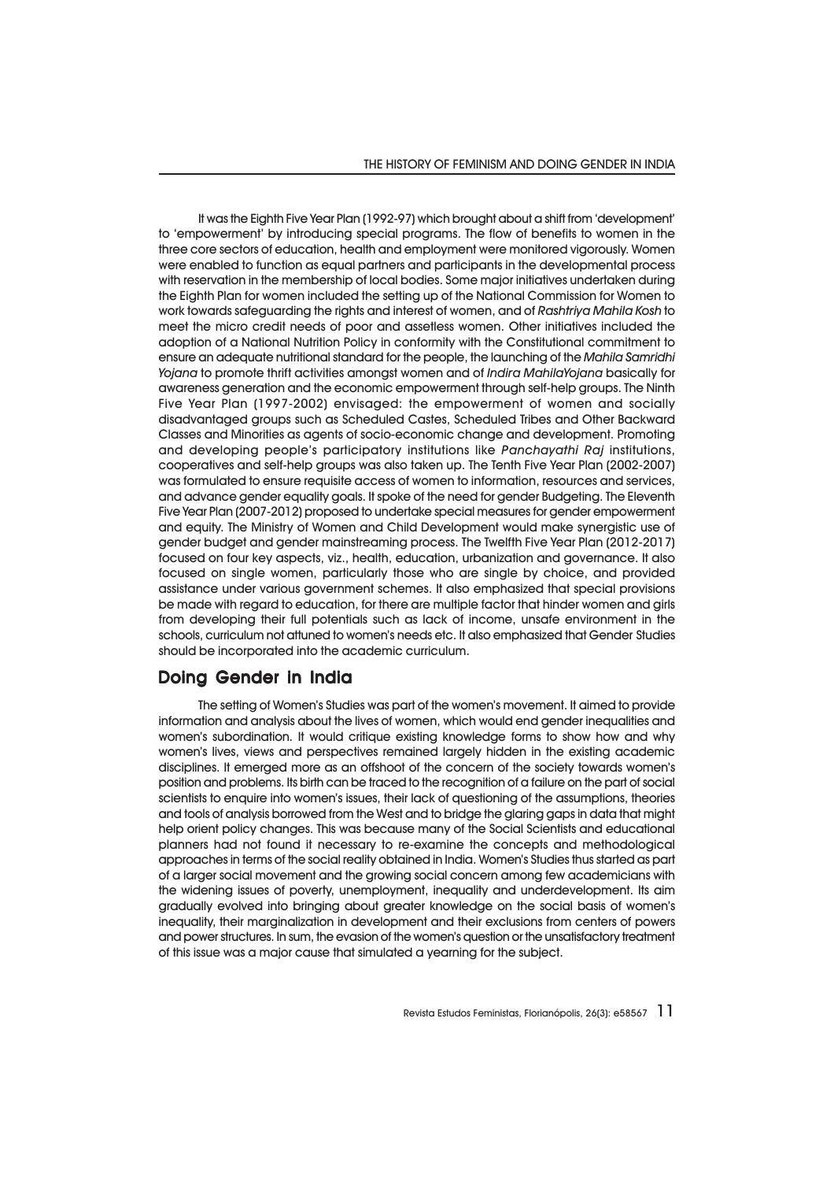It was the Eighth Five Year Plan (1992-97) which brought about a shift from 'development' to 'empowerment' by introducing special programs. The flow of benefits to women in the three core sectors of education, health and employment were monitored vigorously. Women were enabled to function as equal partners and participants in the developmental process with reservation in the membership of local bodies. Some major initiatives undertaken during the Eighth Plan for women included the setting up of the National Commission for Women to work towards safeguarding the rights and interest of women, and of *Rashtriya Mahila Kosh* to meet the micro credit needs of poor and assetless women. Other initiatives included the adoption of a National Nutrition Policy in conformity with the Constitutional commitment to ensure an adequate nutritional standard for the people, the launching of the *Mahila Samridhi Yojana* to promote thrift activities amongst women and of *Indira MahilaYojana* basically for awareness generation and the economic empowerment through self-help groups. The Ninth Five Year Plan (1997-2002) envisaged: the empowerment of women and socially disadvantaged groups such as Scheduled Castes, Scheduled Tribes and Other Backward Classes and Minorities as agents of socio-economic change and development. Promoting and developing people's participatory institutions like *Panchayathi Raj* institutions, cooperatives and self-help groups was also taken up. The Tenth Five Year Plan (2002-2007) was formulated to ensure requisite access of women to information, resources and services, and advance gender equality goals. It spoke of the need for gender Budgeting. The Eleventh Five Year Plan (2007-2012) proposed to undertake special measures for gender empowerment and equity. The Ministry of Women and Child Development would make synergistic use of gender budget and gender mainstreaming process. The Twelfth Five Year Plan (2012-2017) focused on four key aspects, viz., health, education, urbanization and governance. It also focused on single women, particularly those who are single by choice, and provided assistance under various government schemes. It also emphasized that special provisions be made with regard to education, for there are multiple factor that hinder women and girls from developing their full potentials such as lack of income, unsafe environment in the schools, curriculum not attuned to women's needs etc. It also emphasized that Gender Studies should be incorporated into the academic curriculum.

#### Doing Gender in India

The setting of Women's Studies was part of the women's movement. It aimed to provide information and analysis about the lives of women, which would end gender inequalities and women's subordination. It would critique existing knowledge forms to show how and why women's lives, views and perspectives remained largely hidden in the existing academic disciplines. It emerged more as an offshoot of the concern of the society towards women's position and problems. Its birth can be traced to the recognition of a failure on the part of social scientists to enquire into women's issues, their lack of questioning of the assumptions, theories and tools of analysis borrowed from the West and to bridge the glaring gaps in data that might help orient policy changes. This was because many of the Social Scientists and educational planners had not found it necessary to re-examine the concepts and methodological approaches in terms of the social reality obtained in India. Women's Studies thus started as part of a larger social movement and the growing social concern among few academicians with the widening issues of poverty, unemployment, inequality and underdevelopment. Its aim gradually evolved into bringing about greater knowledge on the social basis of women's inequality, their marginalization in development and their exclusions from centers of powers and power structures. In sum, the evasion of the women's question or the unsatisfactory treatment of this issue was a major cause that simulated a yearning for the subject.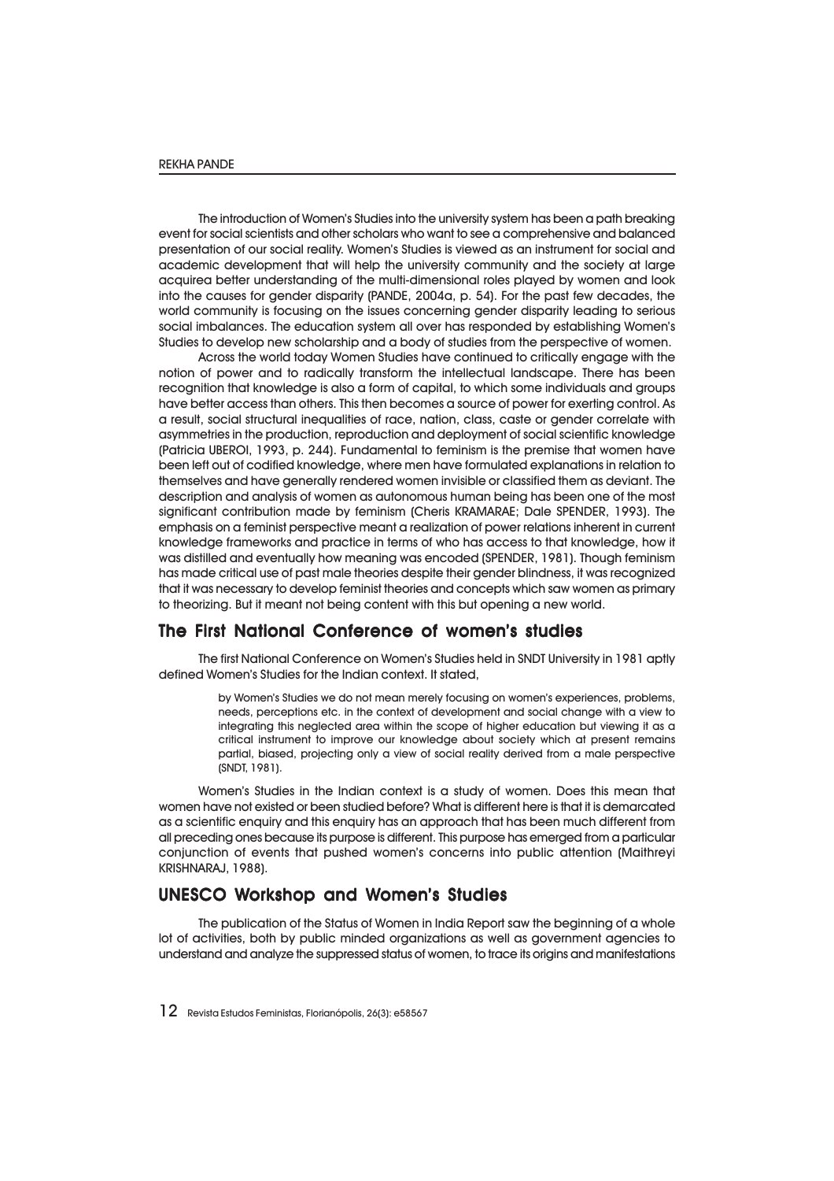The introduction of Women's Studies into the university system has been a path breaking event for social scientists and other scholars who want to see a comprehensive and balanced presentation of our social reality. Women's Studies is viewed as an instrument for social and academic development that will help the university community and the society at large acquirea better understanding of the multi-dimensional roles played by women and look into the causes for gender disparity (PANDE, 2004a, p. 54). For the past few decades, the world community is focusing on the issues concerning gender disparity leading to serious social imbalances. The education system all over has responded by establishing Women's Studies to develop new scholarship and a body of studies from the perspective of women.

Across the world today Women Studies have continued to critically engage with the notion of power and to radically transform the intellectual landscape. There has been recognition that knowledge is also a form of capital, to which some individuals and groups have better access than others. This then becomes a source of power for exerting control. As a result, social structural inequalities of race, nation, class, caste or gender correlate with asymmetries in the production, reproduction and deployment of social scientific knowledge (Patricia UBEROI, 1993, p. 244). Fundamental to feminism is the premise that women have been left out of codified knowledge, where men have formulated explanations in relation to themselves and have generally rendered women invisible or classified them as deviant. The description and analysis of women as autonomous human being has been one of the most significant contribution made by feminism (Cheris KRAMARAE; Dale SPENDER, 1993). The emphasis on a feminist perspective meant a realization of power relations inherent in current knowledge frameworks and practice in terms of who has access to that knowledge, how it was distilled and eventually how meaning was encoded (SPENDER, 1981). Though feminism has made critical use of past male theories despite their gender blindness, it was recognized that it was necessary to develop feminist theories and concepts which saw women as primary to theorizing. But it meant not being content with this but opening a new world.

#### The First National Conference of women's studies

The first National Conference on Women's Studies held in SNDT University in 1981 aptly defined Women's Studies for the Indian context. It stated,

> by Women's Studies we do not mean merely focusing on women's experiences, problems, needs, perceptions etc. in the context of development and social change with a view to integrating this neglected area within the scope of higher education but viewing it as a critical instrument to improve our knowledge about society which at present remains partial, biased, projecting only a view of social reality derived from a male perspective (SNDT, 1981).

Women's Studies in the Indian context is a study of women. Does this mean that women have not existed or been studied before? What is different here is that it is demarcated as a scientific enquiry and this enquiry has an approach that has been much different from all preceding ones because its purpose is different. This purpose has emerged from a particular conjunction of events that pushed women's concerns into public attention (Maithreyi KRISHNARAJ, 1988).

#### UNESCO Workshop and Women's Studies

The publication of the Status of Women in India Report saw the beginning of a whole lot of activities, both by public minded organizations as well as government agencies to understand and analyze the suppressed status of women, to trace its origins and manifestations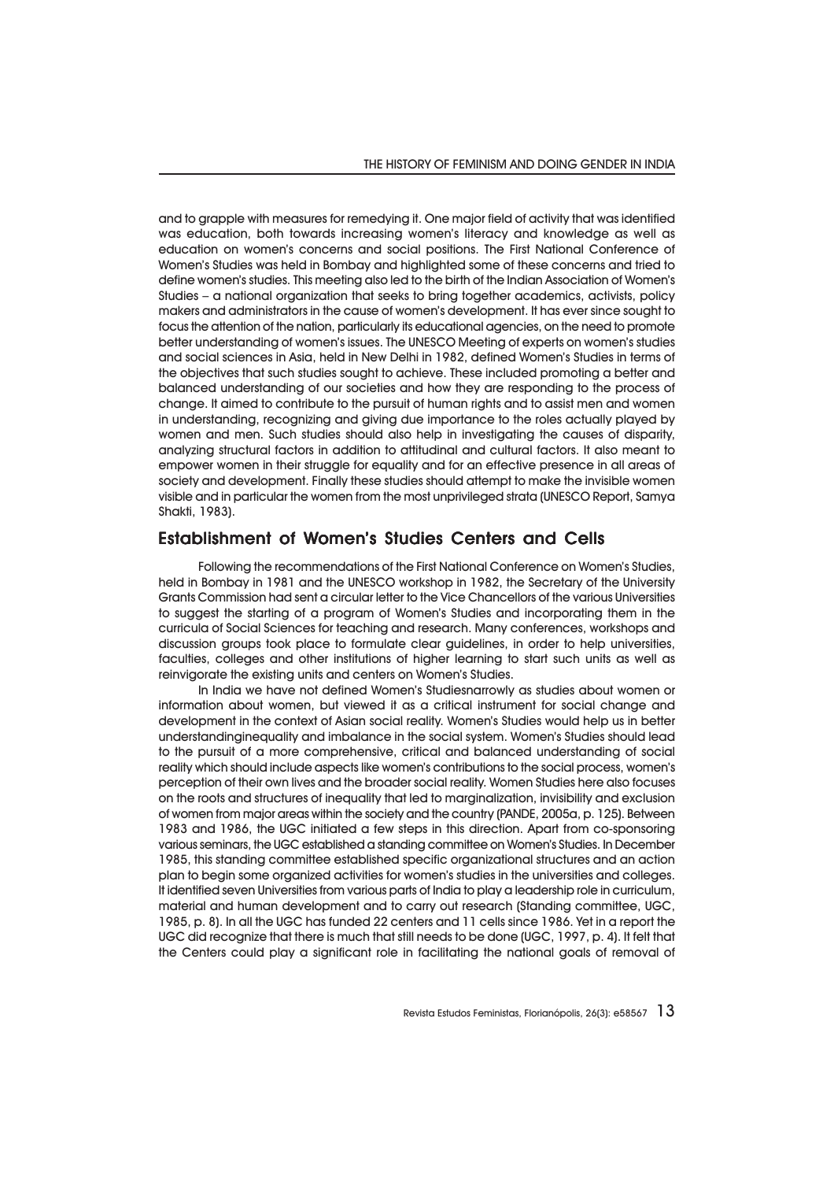and to grapple with measures for remedying it. One major field of activity that was identified was education, both towards increasing women's literacy and knowledge as well as education on women's concerns and social positions. The First National Conference of Women's Studies was held in Bombay and highlighted some of these concerns and tried to define women's studies. This meeting also led to the birth of the Indian Association of Women's Studies – a national organization that seeks to bring together academics, activists, policy makers and administrators in the cause of women's development. It has ever since sought to focus the attention of the nation, particularly its educational agencies, on the need to promote better understanding of women's issues. The UNESCO Meeting of experts on women's studies and social sciences in Asia, held in New Delhi in 1982, defined Women's Studies in terms of the objectives that such studies sought to achieve. These included promoting a better and balanced understanding of our societies and how they are responding to the process of change. It aimed to contribute to the pursuit of human rights and to assist men and women in understanding, recognizing and giving due importance to the roles actually played by women and men. Such studies should also help in investigating the causes of disparity, analyzing structural factors in addition to attitudinal and cultural factors. It also meant to empower women in their struggle for equality and for an effective presence in all areas of society and development. Finally these studies should attempt to make the invisible women visible and in particular the women from the most unprivileged strata (UNESCO Report, Samya Shakti, 1983).

#### Establishment of Women's Studies Centers and Cells

Following the recommendations of the First National Conference on Women's Studies, held in Bombay in 1981 and the UNESCO workshop in 1982, the Secretary of the University Grants Commission had sent a circular letter to the Vice Chancellors of the various Universities to suggest the starting of a program of Women's Studies and incorporating them in the curricula of Social Sciences for teaching and research. Many conferences, workshops and discussion groups took place to formulate clear guidelines, in order to help universities, faculties, colleges and other institutions of higher learning to start such units as well as reinvigorate the existing units and centers on Women's Studies.

In India we have not defined Women's Studiesnarrowly as studies about women or information about women, but viewed it as a critical instrument for social change and development in the context of Asian social reality. Women's Studies would help us in better understandinginequality and imbalance in the social system. Women's Studies should lead to the pursuit of a more comprehensive, critical and balanced understanding of social reality which should include aspects like women's contributions to the social process, women's perception of their own lives and the broader social reality. Women Studies here also focuses on the roots and structures of inequality that led to marginalization, invisibility and exclusion of women from major areas within the society and the country (PANDE, 2005a, p. 125). Between 1983 and 1986, the UGC initiated a few steps in this direction. Apart from co-sponsoring various seminars, the UGC established a standing committee on Women's Studies. In December 1985, this standing committee established specific organizational structures and an action plan to begin some organized activities for women's studies in the universities and colleges. It identified seven Universities from various parts of India to play a leadership role in curriculum, material and human development and to carry out research (Standing committee, UGC, 1985, p. 8). In all the UGC has funded 22 centers and 11 cells since 1986. Yet in a report the UGC did recognize that there is much that still needs to be done (UGC, 1997, p. 4). It felt that the Centers could play a significant role in facilitating the national goals of removal of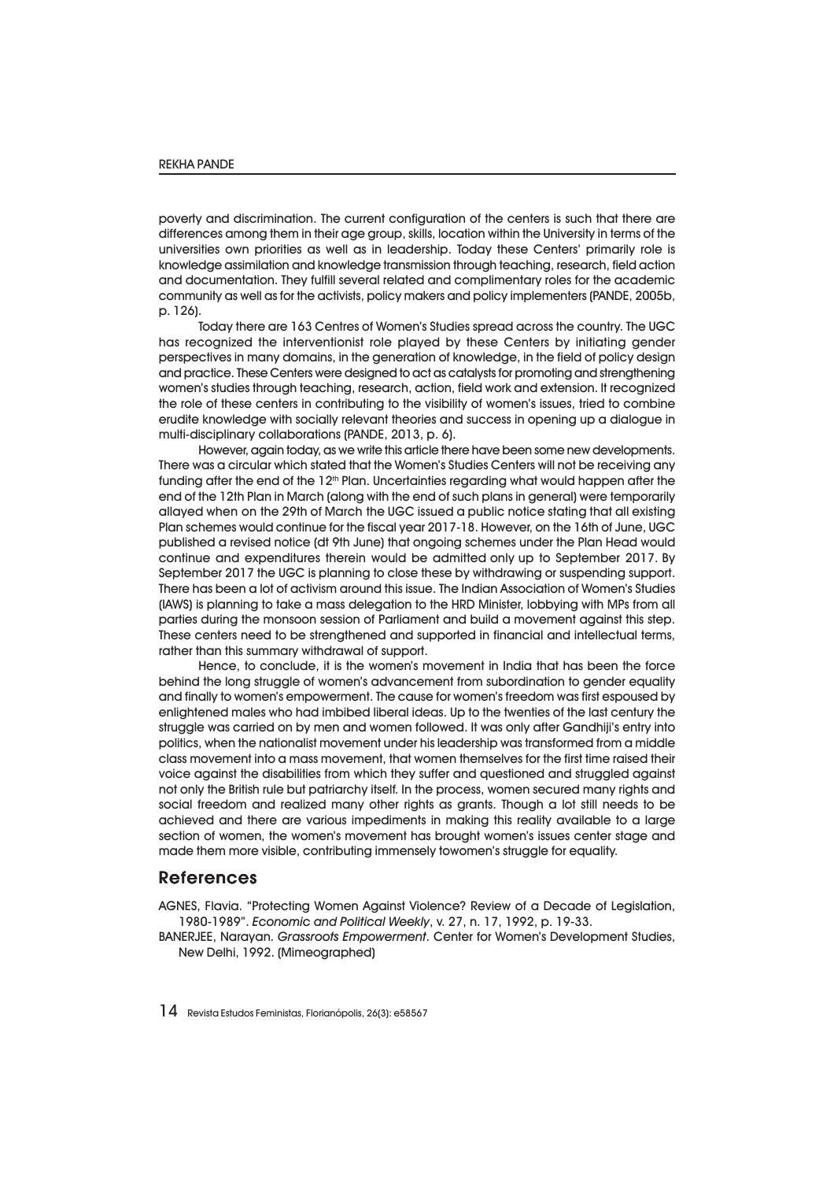poverty and discrimination. The current configuration of the centers is such that there are differences among them in their age group, skills, location within the University in terms of the universities own priorities as well as in leadership. Today these Centers' primarily role is knowledge assimilation and knowledge transmission through teaching, research, field action and documentation. They fulfill several related and complimentary roles for the academic community as well as for the activists, policy makers and policy implementers (PANDE, 2005b, p. 126).

Today there are 163 Centres of Women's Studies spread across the country. The UGC has recognized the interventionist role played by these Centers by initiating gender perspectives in many domains, in the generation of knowledge, in the field of policy design and practice. These Centers were designed to act as catalysts for promoting and strengthening women's studies through teaching, research, action, field work and extension. It recognized the role of these centers in contributing to the visibility of women's issues, tried to combine erudite knowledge with socially relevant theories and success in opening up a dialogue in multi-disciplinary collaborations (PANDE, 2013, p. 6).

However, again today, as we write this article there have been some new developments. There was a circular which stated that the Women's Studies Centers will not be receiving any funding after the end of the  $12<sup>th</sup>$  Plan. Uncertainties regarding what would happen after the end of the 12th Plan in March (along with the end of such plans in general) were temporarily allayed when on the 29th of March the UGC issued a public notice stating that all existing Plan schemes would continue for the fiscal year 2017-18. However, on the 16th of June, UGC published a revised notice (dt 9th June) that ongoing schemes under the Plan Head would continue and expenditures therein would be admitted only up to September 2017. By September 2017 the UGC is planning to close these by withdrawing or suspending support. There has been a lot of activism around this issue. The Indian Association of Women's Studies (IAWS) is planning to take a mass delegation to the HRD Minister, lobbying with MPs from all parties during the monsoon session of Parliament and build a movement against this step. These centers need to be strengthened and supported in financial and intellectual terms, rather than this summary withdrawal of support.

Hence, to conclude, it is the women's movement in India that has been the force behind the long struggle of women's advancement from subordination to gender equality and finally to women's empowerment. The cause for women's freedom was first espoused by enlightened males who had imbibed liberal ideas. Up to the twenties of the last century the struggle was carried on by men and women followed. It was only after Gandhiji's entry into politics, when the nationalist movement under his leadership was transformed from a middle class movement into a mass movement, that women themselves for the first time raised their voice against the disabilities from which they suffer and questioned and struggled against not only the British rule but patriarchy itself. In the process, women secured many rights and social freedom and realized many other rights as grants. Though a lot still needs to be achieved and there are various impediments in making this reality available to a large section of women, the women's movement has brought women's issues center stage and made them more visible, contributing immensely towomen's struggle for equality.

#### References

AGNES, Flavia. "Protecting Women Against Violence? Review of a Decade of Legislation, 1980-1989". *Economic and Political Weekly*, v. 27, n. 17, 1992, p. 19-33.

BANERJEE, Narayan. *Grassroots Empowerment*. Center for Women's Development Studies, New Delhi, 1992. (Mimeographed)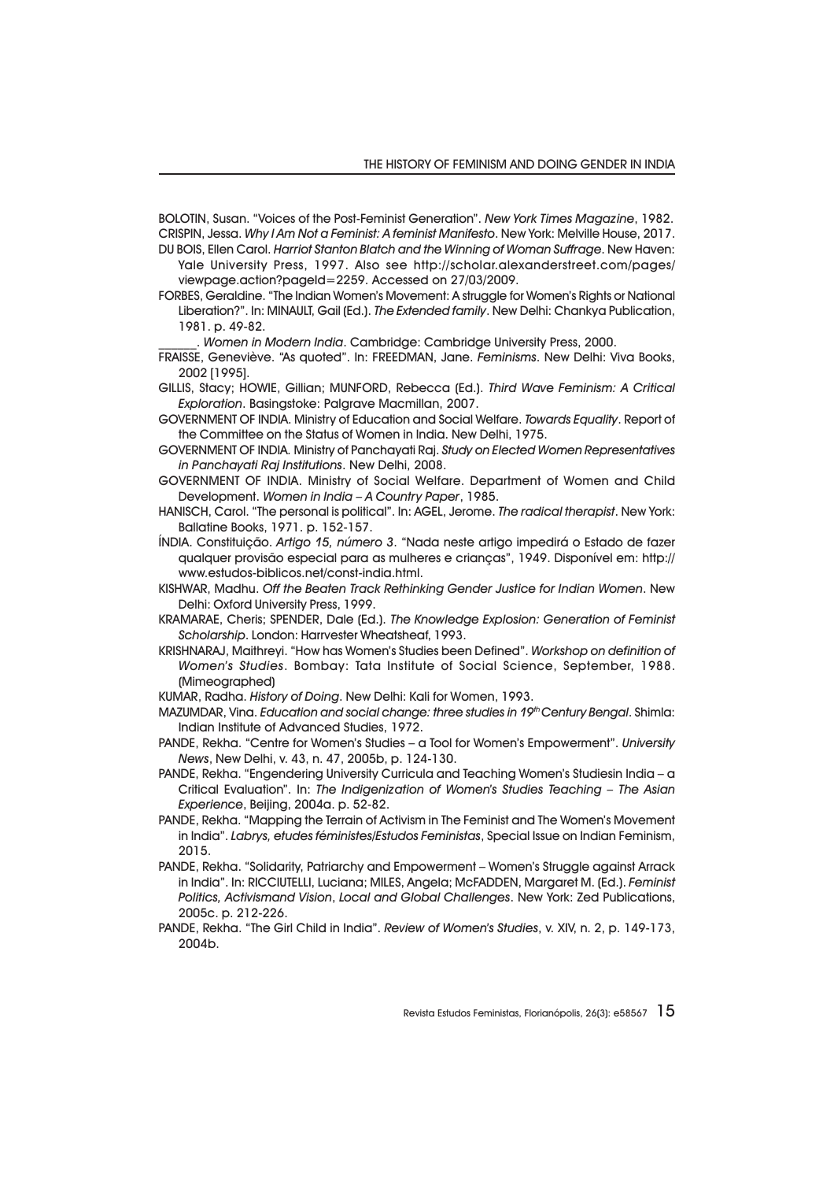BOLOTIN, Susan. "Voices of the Post-Feminist Generation". *New York Times Magazine*, 1982. CRISPIN, Jessa. *Why I Am Not a Feminist: A feminist Manifesto*. New York: Melville House, 2017. DU BOIS, Ellen Carol. *Harriot Stanton Blatch and the Winning of Woman Suffrage*. New Haven:

- Yale University Press, 1997. Also see http://scholar.alexanderstreet.com/pages/ viewpage.action?pageId=2259. Accessed on 27/03/2009.
- FORBES, Geraldine. "The Indian Women's Movement: A struggle for Women's Rights or National Liberation?". In: MINAULT, Gail (Ed.). *The Extended family*. New Delhi: Chankya Publication, 1981. p. 49-82.

\_\_\_\_\_\_. *Women in Modern India*. Cambridge: Cambridge University Press, 2000.

- FRAISSE, Geneviève. "As quoted". In: FREEDMAN, Jane. *Feminisms*. New Delhi: Viva Books, 2002 [1995].
- GILLIS, Stacy; HOWIE, Gillian; MUNFORD, Rebecca (Ed.). *Third Wave Feminism: A Critical Exploration*. Basingstoke: Palgrave Macmillan, 2007.
- GOVERNMENT OF INDIA. Ministry of Education and Social Welfare. *Towards Equality*. Report of the Committee on the Status of Women in India. New Delhi, 1975.
- GOVERNMENT OF INDIA*.* Ministry of Panchayati Raj. *Study on Elected Women Representatives in Panchayati Raj Institutions*. New Delhi, 2008.
- GOVERNMENT OF INDIA. Ministry of Social Welfare. Department of Women and Child Development. *Women in India – A Country Paper*, 1985.
- HANISCH, Carol. "The personal is political". In: AGEL, Jerome. *The radical therapist*. New York: Ballatine Books, 1971. p. 152-157.
- ÍNDIA. Constituição. *Artigo 15, número 3*. "Nada neste artigo impedirá o Estado de fazer qualquer provisão especial para as mulheres e crianças", 1949. Disponível em: http:// www.estudos-biblicos.net/const-india.html.
- KISHWAR, Madhu. *Off the Beaten Track Rethinking Gender Justice for Indian Women*. New Delhi: Oxford University Press, 1999.
- KRAMARAE, Cheris; SPENDER, Dale (Ed.). *The Knowledge Explosion: Generation of Feminist Scholarship*. London: Harrvester Wheatsheaf, 1993.
- KRISHNARAJ, Maithreyi. "How has Women's Studies been Defined". *Workshop on definition of Women's Studies*. Bombay: Tata Institute of Social Science, September, 1988. (Mimeographed)
- KUMAR, Radha. *History of Doing*. New Delhi: Kali for Women, 1993.
- MAZUMDAR, Vina. *Education and social change: three studies in 19th Century Bengal*. Shimla: Indian Institute of Advanced Studies, 1972.
- PANDE, Rekha. "Centre for Women's Studies a Tool for Women's Empowerment". *University News*, New Delhi, v. 43, n. 47, 2005b, p. 124-130.
- PANDE, Rekha. "Engendering University Curricula and Teaching Women's Studiesin India a Critical Evaluation". In: *The Indigenization of Women's Studies Teaching – The Asian Experience*, Beijing, 2004a. p. 52-82.
- PANDE, Rekha. "Mapping the Terrain of Activism in The Feminist and The Women's Movement in India". *Labrys, etudes féministes/Estudos Feministas*, Special Issue on Indian Feminism, 2015.
- PANDE, Rekha. "Solidarity, Patriarchy and Empowerment Women's Struggle against Arrack in India". In: RICCIUTELLI, Luciana; MILES, Angela; McFADDEN, Margaret M. (Ed.). *Feminist Politics, Activismand Vision*, *Local and Global Challenges*. New York: Zed Publications, 2005c. p. 212-226.
- PANDE, Rekha. "The Girl Child in India". *Review of Women's Studies*, v. XIV, n. 2, p. 149-173, 2004b.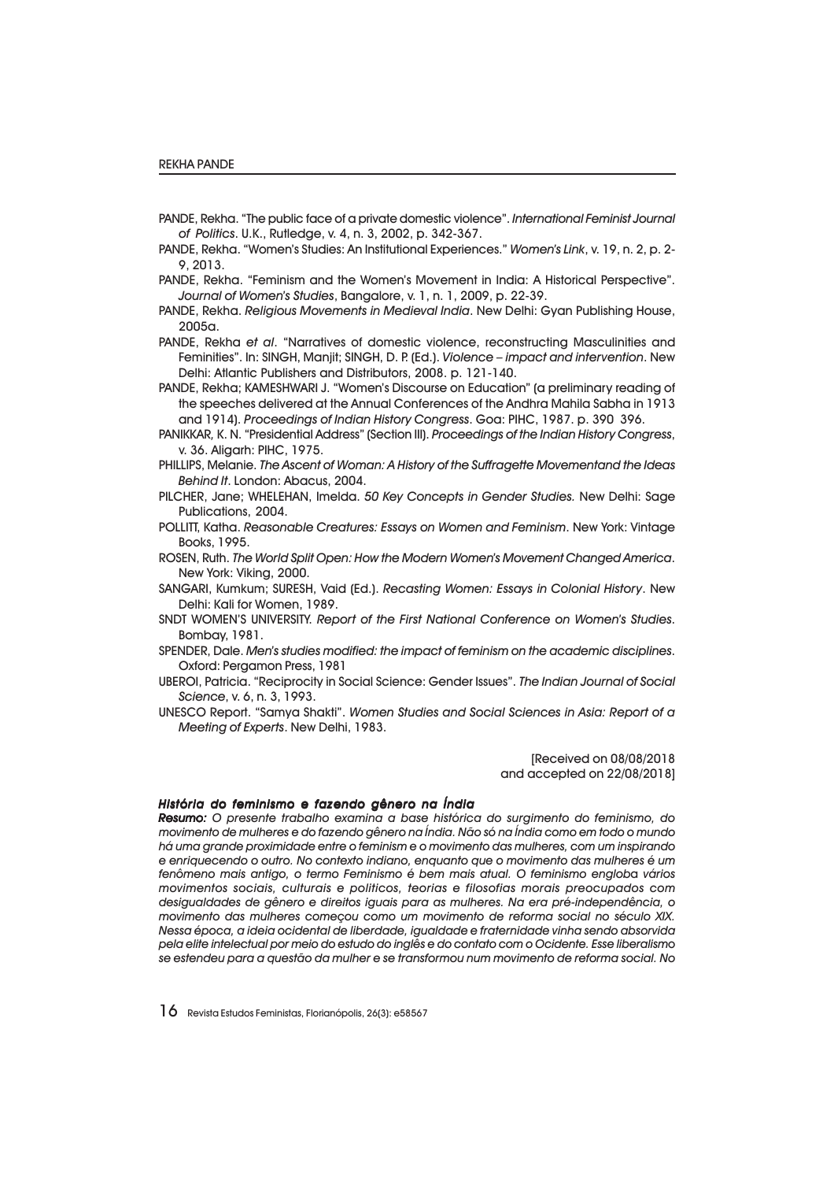- PANDE, Rekha. "The public face of a private domestic violence". *International Feminist Journal of Politics*. U.K., Rutledge, v. 4, n. 3, 2002, p. 342-367.
- PANDE, Rekha. "Women's Studies: An Institutional Experiences." *Women's Link*, v. 19, n. 2, p. 2- 9, 2013.
- PANDE, Rekha. "Feminism and the Women's Movement in India: A Historical Perspective". *Journal of Women's Studies*, Bangalore, v. 1, n. 1, 2009, p. 22-39.
- PANDE, Rekha. *Religious Movements in Medieval India*. New Delhi: Gyan Publishing House, 2005a.
- PANDE, Rekha *et al*. "Narratives of domestic violence, reconstructing Masculinities and Feminities". In: SINGH, Manjit; SINGH, D. P. (Ed.). *Violence – impact and intervention*. New Delhi: Atlantic Publishers and Distributors, 2008. p. 121-140.
- PANDE, Rekha; KAMESHWARI J. "Women's Discourse on Education" (a preliminary reading of the speeches delivered at the Annual Conferences of the Andhra Mahila Sabha in 1913 and 1914). *Proceedings of Indian History Congress*. Goa: PIHC, 1987. p. 390 396.
- PANIKKAR*,* K. N. "Presidential Address" (Section III). *Proceedings of the Indian History Congress*, v. 36. Aligarh: PIHC, 1975.
- PHILLIPS, Melanie. *The Ascent of Woman: A History of the Suffragette Movementand the Ideas Behind It*. London: Abacus, 2004.
- PILCHER, Jane; WHELEHAN, Imelda. *50 Key Concepts in Gender Studies.* New Delhi: Sage Publications, 2004.
- POLLITT, Katha. *Reasonable Creatures: Essays on Women and Feminism*. New York: Vintage Books, 1995.
- ROSEN, Ruth. *The World Split Open: How the Modern Women's Movement Changed America*. New York: Viking, 2000.
- SANGARI, Kumkum; SURESH, Vaid (Ed.). *Recasting Women: Essays in Colonial History*. New Delhi: Kali for Women, 1989.
- SNDT WOMEN'S UNIVERSITY. *Report of the First National Conference on Women's Studies*. Bombay, 1981.
- SPENDER, Dale. *Men's studies modified: the impact of feminism on the academic disciplines*. Oxford: Pergamon Press, 1981
- UBEROI, Patricia. "Reciprocity in Social Science: Gender Issues". *The Indian Journal of Social Science*, v. 6, n. 3, 1993.
- UNESCO Report. "Samya Shakti". *Women Studies and Social Sciences in Asia: Report of a Meeting of Experts*. New Delhi, 1983.

[Received on 08/08/2018 and accepted on 22/08/2018]

#### *História do feminismo e fazendo gênero na Índia*

*Resumo: O presente trabalho examina a base histórica do surgimento do feminismo, do movimento de mulheres e do fazendo gênero na Índia. Não só na Índia como em todo o mundo há uma grande proximidade entre o feminism e o movimento das mulheres, com um inspirando e enriquecendo o outro. No context*o *indiano, enquanto que o movimento das mulheres é um fenômeno mais antigo, o termo Feminismo é bem mais atual. O feminismo englob*a *vários movimentos sociais, culturais e politicos, teorias e filosofias morais preocupados com desigualdades de gênero e direitos iguais para as mulheres. Na era pré-independência, o movimento das mulheres começou como um movimento de reforma social no século XIX. Nessa época, a ideia ocidental de liberdade, igualdade e fraternidade vinha sendo absorvida pela elite intelectual por meio do estudo do inglês e do contato com o Ocidente. Esse liberalism*o *se estendeu para a questão da mulher e se transformou num movimento de reforma social. No*